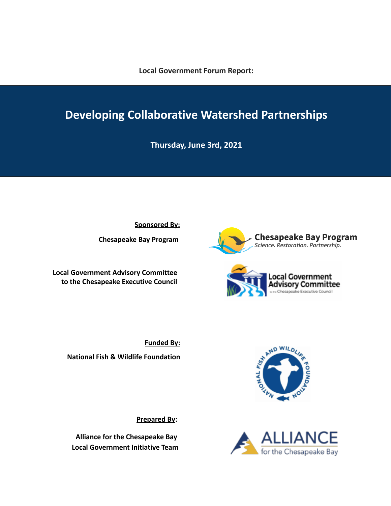**Local Government Forum Report:**

# **Developing Collaborative Watershed Partnerships**

**Thursday, June 3rd, 2021**

**Sponsored By:**

**Chesapeake Bay Program**

**Local Government Advisory Committee to the Chesapeake Executive Council** **Chesapeake Bay Program**<br>Science. Restoration. Partnership.



**Funded By: National Fish & Wildlife Foundation**

**Prepared By:**

**Alliance for the Chesapeake Bay Local Government Initiative Team**



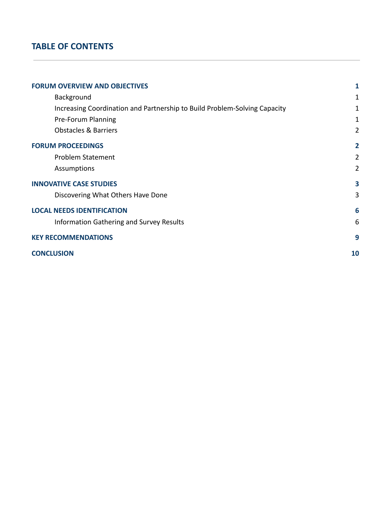# **TABLE OF CONTENTS**

| <b>FORUM OVERVIEW AND OBJECTIVES</b>                                      | 1              |
|---------------------------------------------------------------------------|----------------|
| Background                                                                | 1              |
| Increasing Coordination and Partnership to Build Problem-Solving Capacity | 1              |
| Pre-Forum Planning                                                        | 1              |
| <b>Obstacles &amp; Barriers</b>                                           | $\overline{2}$ |
| <b>FORUM PROCEEDINGS</b>                                                  | $\overline{2}$ |
| <b>Problem Statement</b>                                                  | $\overline{2}$ |
| Assumptions                                                               | $\overline{2}$ |
| <b>INNOVATIVE CASE STUDIES</b>                                            | 3              |
| Discovering What Others Have Done                                         | 3              |
| <b>LOCAL NEEDS IDENTIFICATION</b>                                         | 6              |
| Information Gathering and Survey Results                                  | 6              |
| <b>KEY RECOMMENDATIONS</b>                                                | 9              |
| <b>CONCLUSION</b>                                                         | 10             |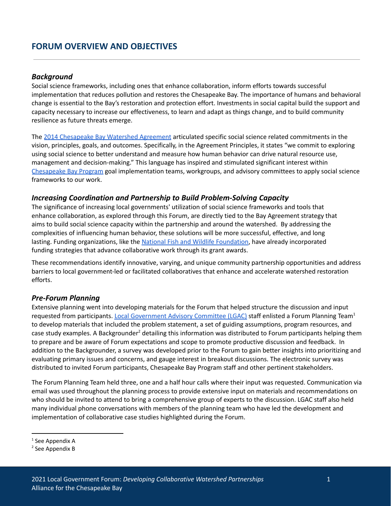### <span id="page-2-1"></span><span id="page-2-0"></span>*Background*

Social science frameworks, including ones that enhance collaboration, inform efforts towards successful implementation that reduces pollution and restores the Chesapeake Bay. The importance of humans and behavioral change is essential to the Bay's restoration and protection effort. Investments in social capital build the support and capacity necessary to increase our effectiveness, to learn and adapt as things change, and to build community resilience as future threats emerge.

The 2014 [Chesapeake](https://www.chesapeakebay.net/what/what_guides_us/watershed_agreement) Bay Watershed Agreement articulated specific social science related commitments in the vision, principles, goals, and outcomes. Specifically, in the Agreement Principles, it states "we commit to exploring using social science to better understand and measure how human behavior can drive natural resource use, management and decision-making." This language has inspired and stimulated significant interest within [Chesapeake](https://www.chesapeakebay.net/who/how_we_are_organized) Bay Program goal implementation teams, workgroups, and advisory committees to apply social science frameworks to our work.

### <span id="page-2-2"></span>*Increasing Coordination and Partnership to Build Problem-Solving Capacity*

The significance of increasing local governments' utilization of social science frameworks and tools that enhance collaboration, as explored through this Forum, are directly tied to the Bay Agreement strategy that aims to build social science capacity within the partnership and around the watershed. By addressing the complexities of influencing human behavior, these solutions will be more successful, effective, and long lasting. Funding organizations, like the National Fish and Wildlife [Foundation](https://www.nfwf.org/), have already incorporated funding strategies that advance collaborative work through its grant awards.

These recommendations identify innovative, varying, and unique community partnership opportunities and address barriers to local government-led or facilitated collaboratives that enhance and accelerate watershed restoration efforts.

# <span id="page-2-3"></span>*Pre-Forum Planning*

Extensive planning went into developing materials for the Forum that helped structure the discussion and input requested from participants. Local [Government](https://www.chesapeakebay.net/who/group/lgac) Advisory Committee (LGAC) staff enlisted a Forum Planning Team<sup>1</sup> to develop materials that included the problem statement, a set of guiding assumptions, program resources, and case study examples. A Backgrounder<sup>2</sup> detailing this information was distributed to Forum participants helping them to prepare and be aware of Forum expectations and scope to promote productive discussion and feedback. In addition to the Backgrounder, a survey was developed prior to the Forum to gain better insights into prioritizing and evaluating primary issues and concerns, and gauge interest in breakout discussions. The electronic survey was distributed to invited Forum participants, Chesapeake Bay Program staff and other pertinent stakeholders.

The Forum Planning Team held three, one and a half hour calls where their input was requested. Communication via email was used throughout the planning process to provide extensive input on materials and recommendations on who should be invited to attend to bring a comprehensive group of experts to the discussion. LGAC staff also held many individual phone conversations with members of the planning team who have led the development and implementation of collaborative case studies highlighted during the Forum.

 $1$  See Appendix A

<sup>2</sup> See Appendix B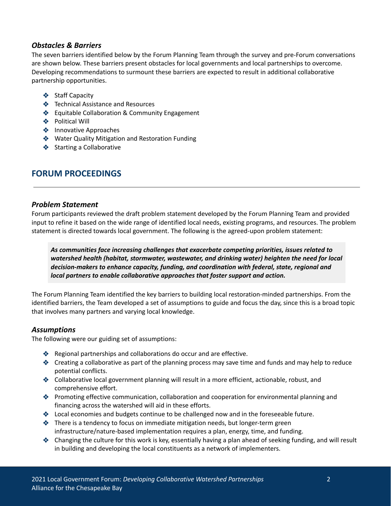# <span id="page-3-0"></span>*Obstacles & Barriers*

The seven barriers identified below by the Forum Planning Team through the survey and pre-Forum conversations are shown below. These barriers present obstacles for local governments and local partnerships to overcome. Developing recommendations to surmount these barriers are expected to result in additional collaborative partnership opportunities.

- ❖ Staff Capacity
- ❖ Technical Assistance and Resources
- ❖ Equitable Collaboration & Community Engagement
- ❖ Political Will
- ❖ Innovative Approaches
- ❖ Water Quality Mitigation and Restoration Funding
- ❖ Starting a Collaborative

# <span id="page-3-1"></span>**FORUM PROCEEDINGS**

### <span id="page-3-2"></span>*Problem Statement*

Forum participants reviewed the draft problem statement developed by the Forum Planning Team and provided input to refine it based on the wide range of identified local needs, existing programs, and resources. The problem statement is directed towards local government. The following is the agreed-upon problem statement:

*As communities face increasing challenges that exacerbate competing priorities, issues related to watershed health (habitat, stormwater, wastewater, and drinking water) heighten the need for local decision-makers to enhance capacity, funding, and coordination with federal, state, regional and local partners to enable collaborative approaches that foster support and action.*

The Forum Planning Team identified the key barriers to building local restoration-minded partnerships. From the identified barriers, the Team developed a set of assumptions to guide and focus the day, since this is a broad topic that involves many partners and varying local knowledge.

### <span id="page-3-3"></span>*Assumptions*

The following were our guiding set of assumptions:

- ❖ Regional partnerships and collaborations do occur and are effective.
- ❖ Creating a collaborative as part of the planning process may save time and funds and may help to reduce potential conflicts.
- ❖ Collaborative local government planning will result in a more efficient, actionable, robust, and comprehensive effort.
- ❖ Promoting effective communication, collaboration and cooperation for environmental planning and financing across the watershed will aid in these efforts.
- ❖ Local economies and budgets continue to be challenged now and in the foreseeable future.
- ❖ There is a tendency to focus on immediate mitigation needs, but longer-term green infrastructure/nature-based implementation requires a plan, energy, time, and funding.
- ❖ Changing the culture for this work is key, essentially having a plan ahead of seeking funding, and will result in building and developing the local constituents as a network of implementers.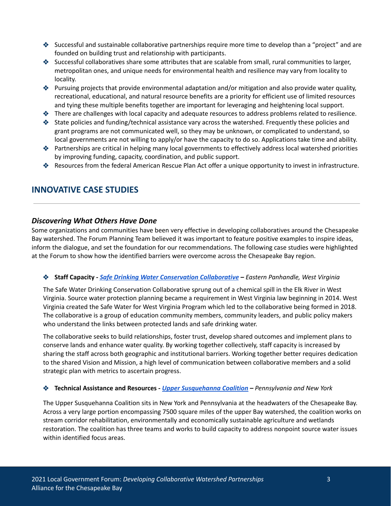- ❖ Successful and sustainable collaborative partnerships require more time to develop than a "project" and are founded on building trust and relationship with participants.
- ❖ Successful collaboratives share some attributes that are scalable from small, rural communities to larger, metropolitan ones, and unique needs for environmental health and resilience may vary from locality to locality.
- ❖ Pursuing projects that provide environmental adaptation and/or mitigation and also provide water quality, recreational, educational, and natural resource benefits are a priority for efficient use of limited resources and tying these multiple benefits together are important for leveraging and heightening local support.
- ❖ There are challenges with local capacity and adequate resources to address problems related to resilience.
- ❖ State policies and funding/technical assistance vary across the watershed. Frequently these policies and grant programs are not communicated well, so they may be unknown, or complicated to understand, so local governments are not willing to apply/or have the capacity to do so. Applications take time and ability.
- ❖ Partnerships are critical in helping many local governments to effectively address local watershed priorities by improving funding, capacity, coordination, and public support.
- ❖ Resources from the federal American Rescue Plan Act offer a unique opportunity to invest in infrastructure.

# <span id="page-4-0"></span>**INNOVATIVE CASE STUDIES**

### <span id="page-4-1"></span>*Discovering What Others Have Done*

Some organizations and communities have been very effective in developing collaboratives around the Chesapeake Bay watershed. The Forum Planning Team believed it was important to feature positive examples to inspire ideas, inform the dialogue, and set the foundation for our recommendations. The following case studies were highlighted at the Forum to show how the identified barriers were overcome across the Chesapeake Bay region.

### ❖ **Staff Capacity** *- Safe Drinking Water Conservation [Collaborative](https://www.safewatercollaborative.org/) – Eastern Panhandle, West Virginia*

The Safe Water Drinking Conservation Collaborative sprung out of a chemical spill in the Elk River in West Virginia. Source water protection planning became a requirement in West Virginia law beginning in 2014. West Virginia created the Safe Water for West Virginia Program which led to the collaborative being formed in 2018. The collaborative is a group of education community members, community leaders, and public policy makers who understand the links between protected lands and safe drinking water.

The collaborative seeks to build relationships, foster trust, develop shared outcomes and implement plans to conserve lands and enhance water quality. By working together collectively, staff capacity is increased by sharing the staff across both geographic and institutional barriers. Working together better requires dedication to the shared Vision and Mission, a high level of communication between collaborative members and a solid strategic plan with metrics to ascertain progress.

#### ❖ **Technical Assistance and Resources** *- Upper [Susquehanna](http://www.uppersusquehanna.org/usc/) Coalition – Pennsylvania and New York*

The Upper Susquehanna Coalition sits in New York and Pennsylvania at the headwaters of the Chesapeake Bay. Across a very large portion encompassing 7500 square miles of the upper Bay watershed, the coalition works on stream corridor rehabilitation, environmentally and economically sustainable agriculture and wetlands restoration. The coalition has three teams and works to build capacity to address nonpoint source water issues within identified focus areas.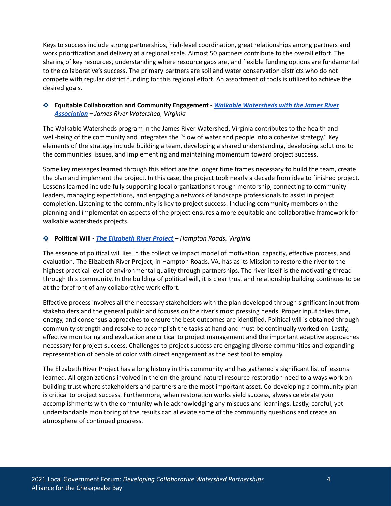Keys to success include strong partnerships, high-level coordination, great relationships among partners and work prioritization and delivery at a regional scale. Almost 50 partners contribute to the overall effort. The sharing of key resources, understanding where resource gaps are, and flexible funding options are fundamental to the collaborative's success. The primary partners are soil and water conservation districts who do not compete with regular district funding for this regional effort. An assortment of tools is utilized to achieve the desired goals.

### ❖ **Equitable Collaboration and Community Engagement** *- Walkable [Watersheds](https://www.walkablewatershed.com/) with the James River [Association](https://www.walkablewatershed.com/) – James River Watershed, Virginia*

The Walkable Watersheds program in the James River Watershed, Virginia contributes to the health and well-being of the community and integrates the "flow of water and people into a cohesive strategy." Key elements of the strategy include building a team, developing a shared understanding, developing solutions to the communities' issues, and implementing and maintaining momentum toward project success.

Some key messages learned through this effort are the longer time frames necessary to build the team, create the plan and implement the project. In this case, the project took nearly a decade from idea to finished project. Lessons learned include fully supporting local organizations through mentorship, connecting to community leaders, managing expectations, and engaging a network of landscape professionals to assist in project completion. Listening to the community is key to project success. Including community members on the planning and implementation aspects of the project ensures a more equitable and collaborative framework for walkable watersheds projects.

### ❖ **Political Will** *- The [Elizabeth](https://elizabethriver.org/) River Project – Hampton Roads, Virginia*

The essence of political will lies in the collective impact model of motivation, capacity, effective process, and evaluation. The Elizabeth River Project, in Hampton Roads, VA, has as its Mission to restore the river to the highest practical level of environmental quality through partnerships. The river itself is the motivating thread through this community. In the building of political will, it is clear trust and relationship building continues to be at the forefront of any collaborative work effort.

Effective process involves all the necessary stakeholders with the plan developed through significant input from stakeholders and the general public and focuses on the river's most pressing needs. Proper input takes time, energy, and consensus approaches to ensure the best outcomes are identified. Political will is obtained through community strength and resolve to accomplish the tasks at hand and must be continually worked on. Lastly, effective monitoring and evaluation are critical to project management and the important adaptive approaches necessary for project success. Challenges to project success are engaging diverse communities and expanding representation of people of color with direct engagement as the best tool to employ.

The Elizabeth River Project has a long history in this community and has gathered a significant list of lessons learned. All organizations involved in the on-the-ground natural resource restoration need to always work on building trust where stakeholders and partners are the most important asset. Co-developing a community plan is critical to project success. Furthermore, when restoration works yield success, always celebrate your accomplishments with the community while acknowledging any miscues and learnings. Lastly, careful, yet understandable monitoring of the results can alleviate some of the community questions and create an atmosphere of continued progress.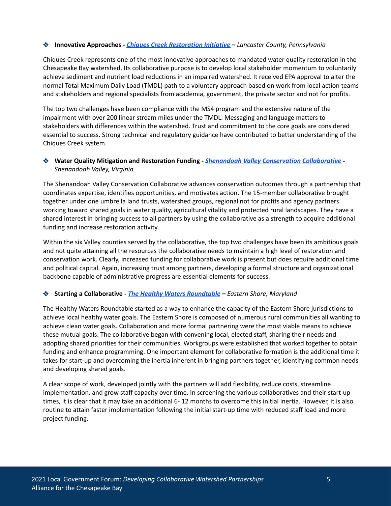#### ❖ **Innovative Approaches** *- Chiques Creek [Restoration](https://www.srbc.net/our-work/what-we-do/chiques-creek-restoration-initiative.html) Initiative – Lancaster County, Pennsylvania*

Chiques Creek represents one of the most innovative approaches to mandated water quality restoration in the Chesapeake Bay watershed. Its collaborative purpose is to develop local stakeholder momentum to voluntarily achieve sediment and nutrient load reductions in an impaired watershed. It received EPA approval to alter the normal Total Maximum Daily Load (TMDL) path to a voluntary approach based on work from local action teams and stakeholders and regional specialists from academia, government, the private sector and not for profits.

The top two challenges have been compliance with the MS4 program and the extensive nature of the impairment with over 200 linear stream miles under the TMDL. Messaging and language matters to stakeholders with differences within the watershed. Trust and commitment to the core goals are considered essential to success. Strong technical and regulatory guidance have contributed to better understanding of the Chiques Creek system.

### ❖ **Water Quality Mitigation and Restoration Funding** *- Shenandoah Valley Conservation [Collaborative](https://shenandoahalliance.org/project/shenandoah-valley-conservation-collaborative/) - Shenandoah Valley, Virginia*

The Shenandoah Valley Conservation Collaborative advances conservation outcomes through a partnership that coordinates expertise, identifies opportunities, and motivates action. The 15-member collaborative brought together under one umbrella land trusts, watershed groups, regional not for profits and agency partners working toward shared goals in water quality, agricultural vitality and protected rural landscapes. They have a shared interest in bringing success to all partners by using the collaborative as a strength to acquire additional funding and increase restoration activity.

Within the six Valley counties served by the collaborative, the top two challenges have been its ambitious goals and not quite attaining all the resources the collaborative needs to maintain a high level of restoration and conservation work. Clearly, increased funding for collaborative work is present but does require additional time and political capital. Again, increasing trust among partners, developing a formal structure and organizational backbone capable of administrative progress are essential elements for success.

### ❖ **Starting a Collaborative** *- The Healthy Waters [Roundtable](https://agnr.umd.edu/sites/agnr.umd.edu/files/files/documents/Hughes%20Center/Education%20and%20Outreach/final-healthy-waters-action-plan-12-7-121.pdf) – Eastern Shore, Maryland*

The Healthy Waters Roundtable started as a way to enhance the capacity of the Eastern Shore jurisdictions to achieve local healthy water goals. The Eastern Shore is composed of numerous rural communities all wanting to achieve clean water goals. Collaboration and more formal partnering were the most viable means to achieve these mutual goals. The collaborative began with convening local, elected staff, sharing their needs and adopting shared priorities for their communities. Workgroups were established that worked together to obtain funding and enhance programming. One important element for collaborative formation is the additional time it takes for start-up and overcoming the inertia inherent in bringing partners together, identifying common needs and developing shared goals.

A clear scope of work, developed jointly with the partners will add flexibility, reduce costs, streamline implementation, and grow staff capacity over time. In screening the various collaboratives and their start-up times, it is clear that it may take an additional 6- 12 months to overcome this initial inertia. However, it is also routine to attain faster implementation following the initial start-up time with reduced staff load and more project funding.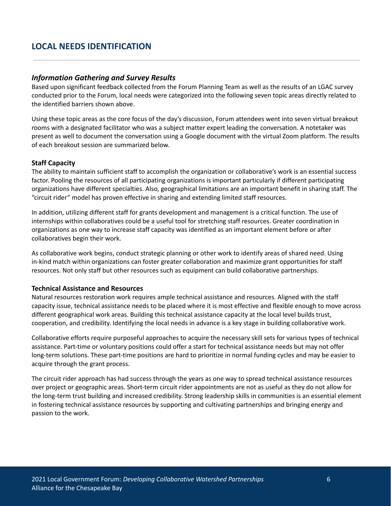# <span id="page-7-0"></span>**LOCAL NEEDS IDENTIFICATION**

### <span id="page-7-1"></span>*Information Gathering and Survey Results*

Based upon significant feedback collected from the Forum Planning Team as well as the results of an LGAC survey conducted prior to the Forum, local needs were categorized into the following seven topic areas directly related to the identified barriers shown above.

Using these topic areas as the core focus of the day's discussion, Forum attendees went into seven virtual breakout rooms with a designated facilitator who was a subject matter expert leading the conversation. A notetaker was present as well to document the conversation using a Google document with the virtual Zoom platform. The results of each breakout session are summarized below.

### **Staff Capacity**

The ability to maintain sufficient staff to accomplish the organization or collaborative's work is an essential success factor. Pooling the resources of all participating organizations is important particularly if different participating organizations have different specialties. Also, geographical limitations are an important benefit in sharing staff. The "circuit rider" model has proven effective in sharing and extending limited staff resources.

In addition, utilizing different staff for grants development and management is a critical function. The use of internships within collaboratives could be a useful tool for stretching staff resources. Greater coordination in organizations as one way to increase staff capacity was identified as an important element before or after collaboratives begin their work.

As collaborative work begins, conduct strategic planning or other work to identify areas of shared need. Using in-kind match within organizations can foster greater collaboration and maximize grant opportunities for staff resources. Not only staff but other resources such as equipment can build collaborative partnerships.

### **Technical Assistance and Resources**

Natural resources restoration work requires ample technical assistance and resources. Aligned with the staff capacity issue, technical assistance needs to be placed where it is most effective and flexible enough to move across different geographical work areas. Building this technical assistance capacity at the local level builds trust, cooperation, and credibility. Identifying the local needs in advance is a key stage in building collaborative work.

Collaborative efforts require purposeful approaches to acquire the necessary skill sets for various types of technical assistance. Part-time or voluntary positions could offer a start for technical assistance needs but may not offer long-term solutions. These part-time positions are hard to prioritize in normal funding cycles and may be easier to acquire through the grant process.

The circuit rider approach has had success through the years as one way to spread technical assistance resources over project or geographic areas. Short-term circuit rider appointments are not as useful as they do not allow for the long-term trust building and increased credibility. Strong leadership skills in communities is an essential element in fostering technical assistance resources by supporting and cultivating partnerships and bringing energy and passion to the work.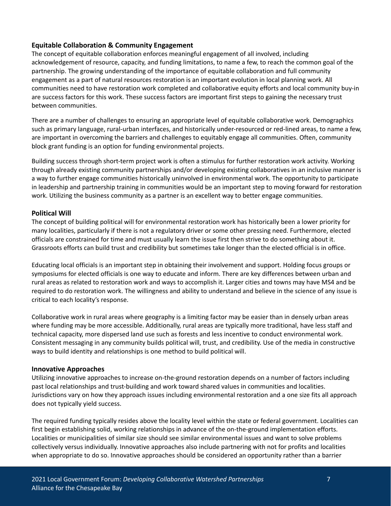## **Equitable Collaboration & Community Engagement**

The concept of equitable collaboration enforces meaningful engagement of all involved, including acknowledgement of resource, capacity, and funding limitations, to name a few, to reach the common goal of the partnership. The growing understanding of the importance of equitable collaboration and full community engagement as a part of natural resources restoration is an important evolution in local planning work. All communities need to have restoration work completed and collaborative equity efforts and local community buy-in are success factors for this work. These success factors are important first steps to gaining the necessary trust between communities.

There are a number of challenges to ensuring an appropriate level of equitable collaborative work. Demographics such as primary language, rural-urban interfaces, and historically under-resourced or red-lined areas, to name a few, are important in overcoming the barriers and challenges to equitably engage all communities. Often, community block grant funding is an option for funding environmental projects.

Building success through short-term project work is often a stimulus for further restoration work activity. Working through already existing community partnerships and/or developing existing collaboratives in an inclusive manner is a way to further engage communities historically uninvolved in environmental work. The opportunity to participate in leadership and partnership training in communities would be an important step to moving forward for restoration work. Utilizing the business community as a partner is an excellent way to better engage communities.

### **Political Will**

The concept of building political will for environmental restoration work has historically been a lower priority for many localities, particularly if there is not a regulatory driver or some other pressing need. Furthermore, elected officials are constrained for time and must usually learn the issue first then strive to do something about it. Grassroots efforts can build trust and credibility but sometimes take longer than the elected official is in office.

Educating local officials is an important step in obtaining their involvement and support. Holding focus groups or symposiums for elected officials is one way to educate and inform. There are key differences between urban and rural areas as related to restoration work and ways to accomplish it. Larger cities and towns may have MS4 and be required to do restoration work. The willingness and ability to understand and believe in the science of any issue is critical to each locality's response.

Collaborative work in rural areas where geography is a limiting factor may be easier than in densely urban areas where funding may be more accessible. Additionally, rural areas are typically more traditional, have less staff and technical capacity, more dispersed land use such as forests and less incentive to conduct environmental work. Consistent messaging in any community builds political will, trust, and credibility. Use of the media in constructive ways to build identity and relationships is one method to build political will.

### **Innovative Approaches**

Utilizing innovative approaches to increase on-the-ground restoration depends on a number of factors including past local relationships and trust-building and work toward shared values in communities and localities. Jurisdictions vary on how they approach issues including environmental restoration and a one size fits all approach does not typically yield success.

The required funding typically resides above the locality level within the state or federal government. Localities can first begin establishing solid, working relationships in advance of the on-the-ground implementation efforts. Localities or municipalities of similar size should see similar environmental issues and want to solve problems collectively versus individually. Innovative approaches also include partnering with not for profits and localities when appropriate to do so. Innovative approaches should be considered an opportunity rather than a barrier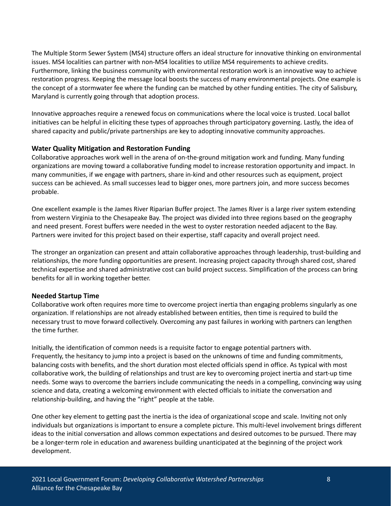The Multiple Storm Sewer System (MS4) structure offers an ideal structure for innovative thinking on environmental issues. MS4 localities can partner with non-MS4 localities to utilize MS4 requirements to achieve credits. Furthermore, linking the business community with environmental restoration work is an innovative way to achieve restoration progress. Keeping the message local boosts the success of many environmental projects. One example is the concept of a stormwater fee where the funding can be matched by other funding entities. The city of Salisbury, Maryland is currently going through that adoption process.

Innovative approaches require a renewed focus on communications where the local voice is trusted. Local ballot initiatives can be helpful in eliciting these types of approaches through participatory governing. Lastly, the idea of shared capacity and public/private partnerships are key to adopting innovative community approaches.

### **Water Quality Mitigation and Restoration Funding**

Collaborative approaches work well in the arena of on-the-ground mitigation work and funding. Many funding organizations are moving toward a collaborative funding model to increase restoration opportunity and impact. In many communities, if we engage with partners, share in-kind and other resources such as equipment, project success can be achieved. As small successes lead to bigger ones, more partners join, and more success becomes probable.

One excellent example is the James River Riparian Buffer project. The James River is a large river system extending from western Virginia to the Chesapeake Bay. The project was divided into three regions based on the geography and need present. Forest buffers were needed in the west to oyster restoration needed adjacent to the Bay. Partners were invited for this project based on their expertise, staff capacity and overall project need.

The stronger an organization can present and attain collaborative approaches through leadership, trust-building and relationships, the more funding opportunities are present. Increasing project capacity through shared cost, shared technical expertise and shared administrative cost can build project success. Simplification of the process can bring benefits for all in working together better.

### **Needed Startup Time**

Collaborative work often requires more time to overcome project inertia than engaging problems singularly as one organization. If relationships are not already established between entities, then time is required to build the necessary trust to move forward collectively. Overcoming any past failures in working with partners can lengthen the time further.

Initially, the identification of common needs is a requisite factor to engage potential partners with. Frequently, the hesitancy to jump into a project is based on the unknowns of time and funding commitments, balancing costs with benefits, and the short duration most elected officials spend in office. As typical with most collaborative work, the building of relationships and trust are key to overcoming project inertia and start-up time needs. Some ways to overcome the barriers include communicating the needs in a compelling, convincing way using science and data, creating a welcoming environment with elected officials to initiate the conversation and relationship-building, and having the "right" people at the table.

One other key element to getting past the inertia is the idea of organizational scope and scale. Inviting not only individuals but organizations is important to ensure a complete picture. This multi-level involvement brings different ideas to the initial conversation and allows common expectations and desired outcomes to be pursued. There may be a longer-term role in education and awareness building unanticipated at the beginning of the project work development.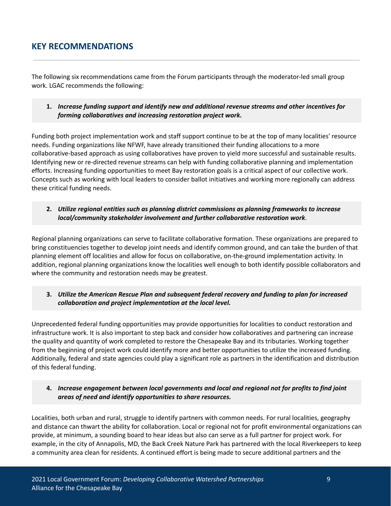# <span id="page-10-0"></span>**KEY RECOMMENDATIONS**

The following six recommendations came from the Forum participants through the moderator-led small group work. LGAC recommends the following:

**1.** *Increase funding support and identify new and additional revenue streams and other incentives for forming collaboratives and increasing restoration project work.*

Funding both project implementation work and staff support continue to be at the top of many localities' resource needs. Funding organizations like NFWF, have already transitioned their funding allocations to a more collaborative-based approach as using collaboratives have proven to yield more successful and sustainable results. Identifying new or re-directed revenue streams can help with funding collaborative planning and implementation efforts. Increasing funding opportunities to meet Bay restoration goals is a critical aspect of our collective work. Concepts such as working with local leaders to consider ballot initiatives and working more regionally can address these critical funding needs.

### **2.** *Utilize regional entities such as planning district commissions as planning frameworks to increase local/community stakeholder involvement and further collaborative restoration work*.

Regional planning organizations can serve to facilitate collaborative formation. These organizations are prepared to bring constituencies together to develop joint needs and identify common ground, and can take the burden of that planning element off localities and allow for focus on collaborative, on-the-ground implementation activity. In addition, regional planning organizations know the localities well enough to both identify possible collaborators and where the community and restoration needs may be greatest.

**3.** *Utilize the American Rescue Plan and subsequent federal recovery and funding to plan for increased collaboration and project implementation at the local level.*

Unprecedented federal funding opportunities may provide opportunities for localities to conduct restoration and infrastructure work. It is also important to step back and consider how collaboratives and partnering can increase the quality and quantity of work completed to restore the Chesapeake Bay and its tributaries. Working together from the beginning of project work could identify more and better opportunities to utilize the increased funding. Additionally, federal and state agencies could play a significant role as partners in the identification and distribution of this federal funding.

### **4.** *Increase engagement between local governments and local and regional not for profits to find joint areas of need and identify opportunities to share resources.*

Localities, both urban and rural, struggle to identify partners with common needs. For rural localities, geography and distance can thwart the ability for collaboration. Local or regional not for profit environmental organizations can provide, at minimum, a sounding board to hear ideas but also can serve as a full partner for project work. For example, in the city of Annapolis, MD, the Back Creek Nature Park has partnered with the local Riverkeepers to keep a community area clean for residents. A continued effort is being made to secure additional partners and the